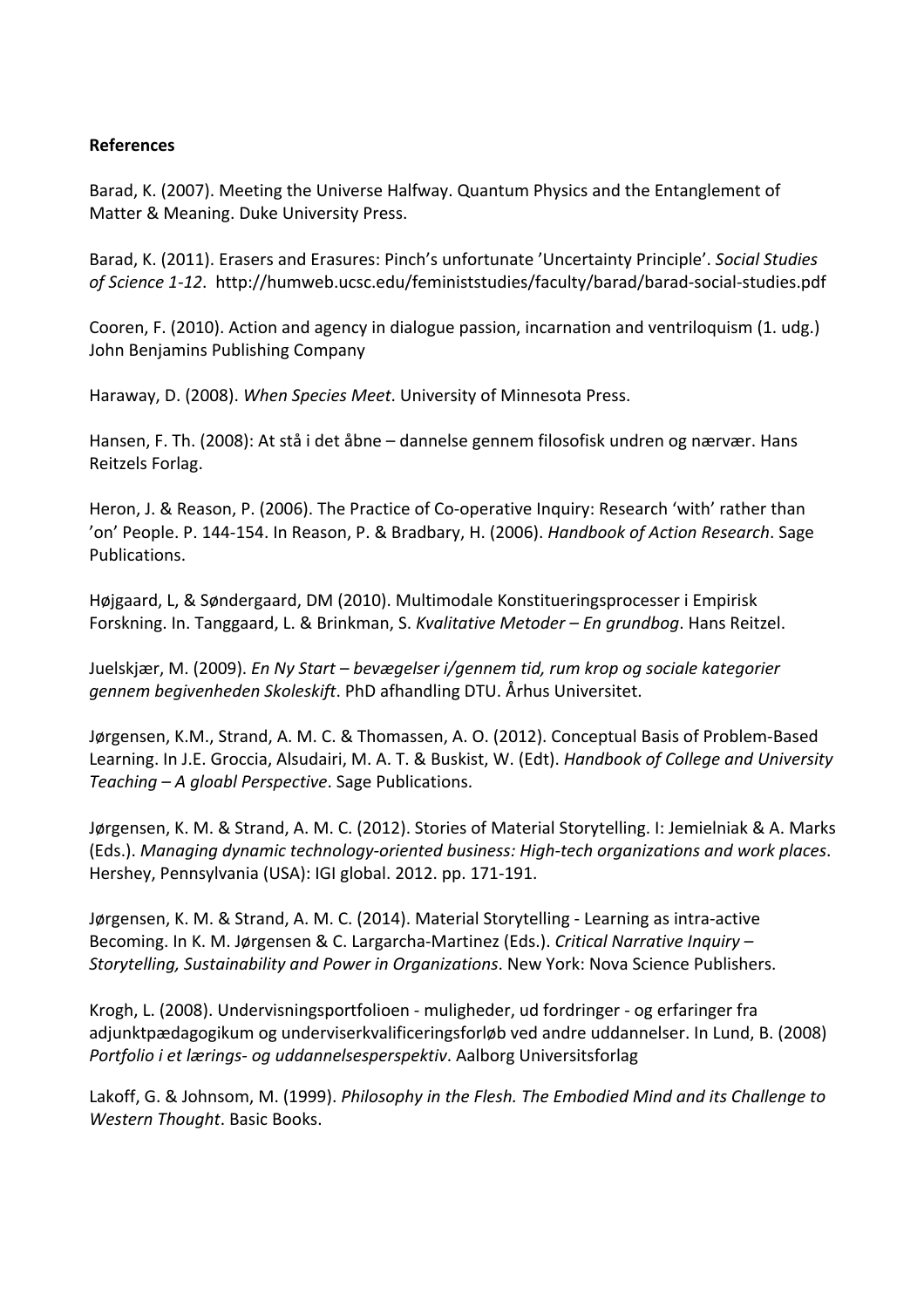## **References**

Barad, K. (2007). Meeting the Universe Halfway. Quantum Physics and the Entanglement of Matter & Meaning. Duke University Press.

Barad, K. (2011). Erasers and Erasures: Pinch's unfortunate 'Uncertainty Principle'. *Social Studies* of Science 1-12. http://humweb.ucsc.edu/feministstudies/faculty/barad/barad-social-studies.pdf

Cooren, F. (2010). Action and agency in dialogue passion, incarnation and ventriloquism (1. udg.) John Benjamins Publishing Company

Haraway, D. (2008). *When Species Meet*. University of Minnesota Press.

Hansen, F. Th. (2008): At stå i det åbne – dannelse gennem filosofisk undren og nærvær. Hans Reitzels Forlag.

Heron, J. & Reason, P. (2006). The Practice of Co-operative Inquiry: Research 'with' rather than 'on' People. P. 144-154. In Reason, P. & Bradbary, H. (2006). *Handbook of Action Research*. Sage Publications. 

Højgaard, L, & Søndergaard, DM (2010). Multimodale Konstitueringsprocesser i Empirisk Forskning. In. Tanggaard, L. & Brinkman, S. Kvalitative Metoder – En grundbog. Hans Reitzel.

Juelskjær, M. (2009). *En Ny Start – bevægelser i/gennem tid, rum krop og sociale kategorier gennem begivenheden Skoleskift*. PhD afhandling DTU. Århus Universitet.

Jørgensen, K.M., Strand, A. M. C. & Thomassen, A. O. (2012). Conceptual Basis of Problem-Based Learning. In J.E. Groccia, Alsudairi, M. A. T. & Buskist, W. (Edt). *Handbook of College and University Teaching* – A gloabl Perspective. Sage Publications.

Jørgensen, K. M. & Strand, A. M. C. (2012). Stories of Material Storytelling. I: Jemielniak & A. Marks (Eds.). *Managing dynamic technology-oriented business: High-tech organizations and work places*. Hershey, Pennsylvania (USA): IGI global. 2012. pp. 171-191.

Jørgensen, K. M. & Strand, A. M. C. (2014). Material Storytelling - Learning as intra-active Becoming. In K. M. Jørgensen & C. Largarcha-Martinez (Eds.). *Critical Narrative Inquiry* -*Storytelling, Sustainability and Power in Organizations*. New York: Nova Science Publishers.

Krogh, L. (2008). Undervisningsportfolioen - muligheder, ud fordringer - og erfaringer fra adjunktpædagogikum og underviserkvalificeringsforløb ved andre uddannelser. In Lund, B. (2008) Portfolio *i et lærings- og uddannelsesperspektiv*. Aalborg Universitsforlag

Lakoff, G. & Johnsom, M. (1999). *Philosophy in the Flesh. The Embodied Mind and its Challenge to Western Thought*. Basic Books.